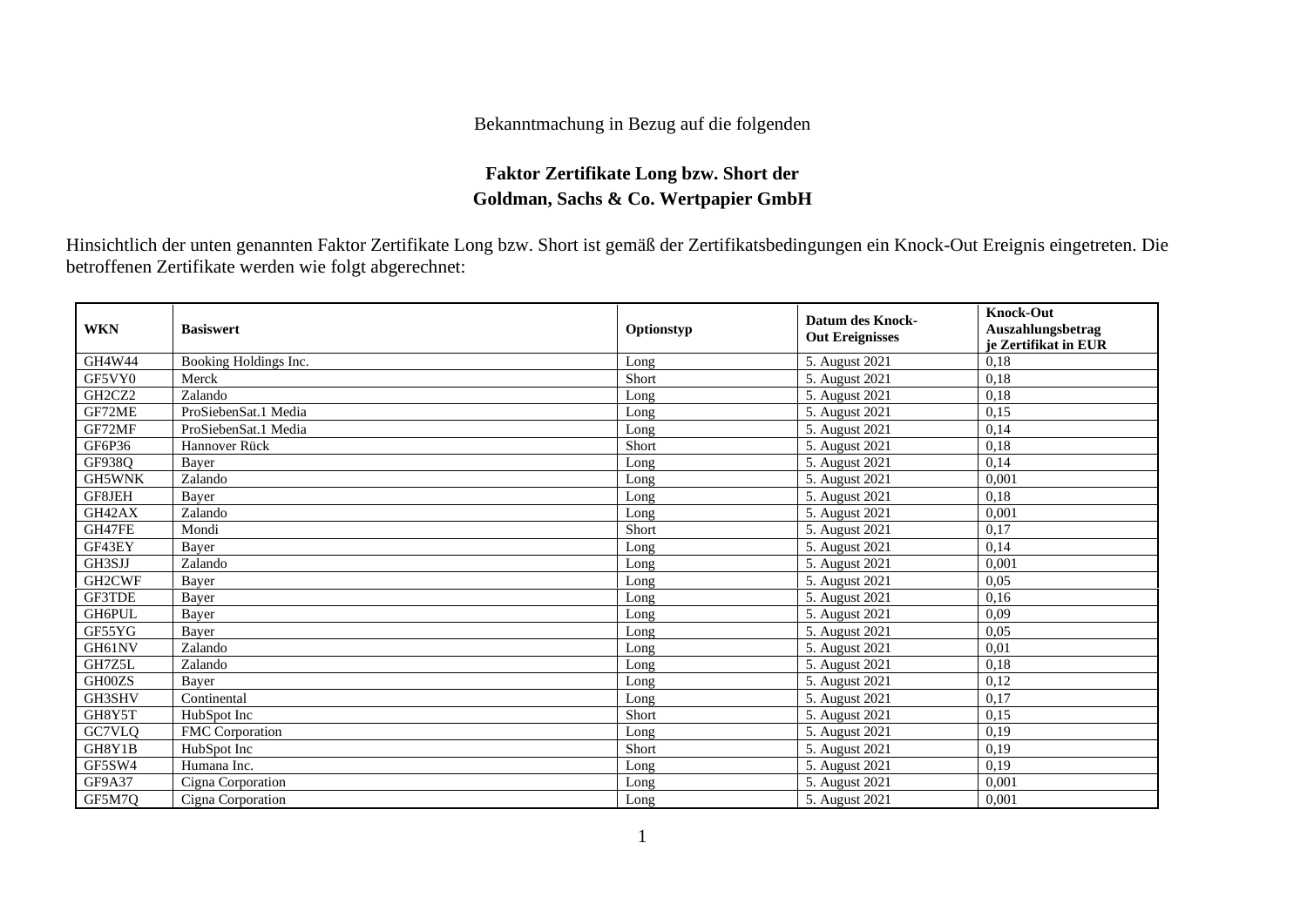## Bekanntmachung in Bezug auf die folgenden

## **Faktor Zertifikate Long bzw. Short der Goldman, Sachs & Co. Wertpapier GmbH**

Hinsichtlich der unten genannten Faktor Zertifikate Long bzw. Short ist gemäß der Zertifikatsbedingungen ein Knock-Out Ereignis eingetreten. Die betroffenen Zertifikate werden wie folgt abgerechnet:

| <b>WKN</b>    | <b>Basiswert</b>      | Optionstyp | <b>Datum des Knock-</b><br><b>Out Ereignisses</b> | <b>Knock-Out</b><br>Auszahlungsbetrag<br>je Zertifikat in EUR |
|---------------|-----------------------|------------|---------------------------------------------------|---------------------------------------------------------------|
| GH4W44        | Booking Holdings Inc. | Long       | 5. August 2021                                    | 0,18                                                          |
| GF5VY0        | Merck                 | Short      | 5. August 2021                                    | 0,18                                                          |
| GH2CZ2        | Zalando               | Long       | 5. August 2021                                    | 0,18                                                          |
| GF72ME        | ProSiebenSat.1 Media  | Long       | 5. August 2021                                    | 0,15                                                          |
| GF72MF        | ProSiebenSat.1 Media  | Long       | 5. August 2021                                    | 0,14                                                          |
| GF6P36        | Hannover Rück         | Short      | 5. August 2021                                    | 0,18                                                          |
| GF938Q        | Baver                 | Long       | 5. August 2021                                    | 0,14                                                          |
| <b>GH5WNK</b> | Zalando               | Long       | 5. August 2021                                    | 0,001                                                         |
| GF8JEH        | Bayer                 | Long       | 5. August 2021                                    | 0,18                                                          |
| GH42AX        | Zalando               | Long       | 5. August 2021                                    | 0,001                                                         |
| GH47FE        | Mondi                 | Short      | 5. August 2021                                    | 0,17                                                          |
| GF43EY        | Baver                 | Long       | 5. August 2021                                    | 0.14                                                          |
| GH3SJJ        | Zalando               | Long       | 5. August 2021                                    | 0,001                                                         |
| GH2CWF        | Bayer                 | Long       | 5. August 2021                                    | 0,05                                                          |
| GF3TDE        | Bayer                 | Long       | 5. August 2021                                    | 0,16                                                          |
| <b>GH6PUL</b> | Bayer                 | Long       | 5. August 2021                                    | 0,09                                                          |
| GF55YG        | Baver                 | Long       | 5. August 2021                                    | 0.05                                                          |
| GH61NV        | Zalando               | Long       | 5. August 2021                                    | 0,01                                                          |
| GH7Z5L        | Zalando               | Long       | 5. August 2021                                    | 0,18                                                          |
| GH00ZS        | Bayer                 | Long       | 5. August 2021                                    | 0,12                                                          |
| GH3SHV        | Continental           | Long       | 5. August 2021                                    | 0,17                                                          |
| GH8Y5T        | HubSpot Inc           | Short      | 5. August 2021                                    | 0,15                                                          |
| GC7VLQ        | FMC Corporation       | Long       | 5. August 2021                                    | 0,19                                                          |
| GH8Y1B        | HubSpot Inc           | Short      | 5. August 2021                                    | 0.19                                                          |
| GF5SW4        | Humana Inc.           | Long       | 5. August 2021                                    | 0.19                                                          |
| <b>GF9A37</b> | Cigna Corporation     | Long       | 5. August 2021                                    | 0,001                                                         |
| GF5M7Q        | Cigna Corporation     | Long       | 5. August 2021                                    | 0,001                                                         |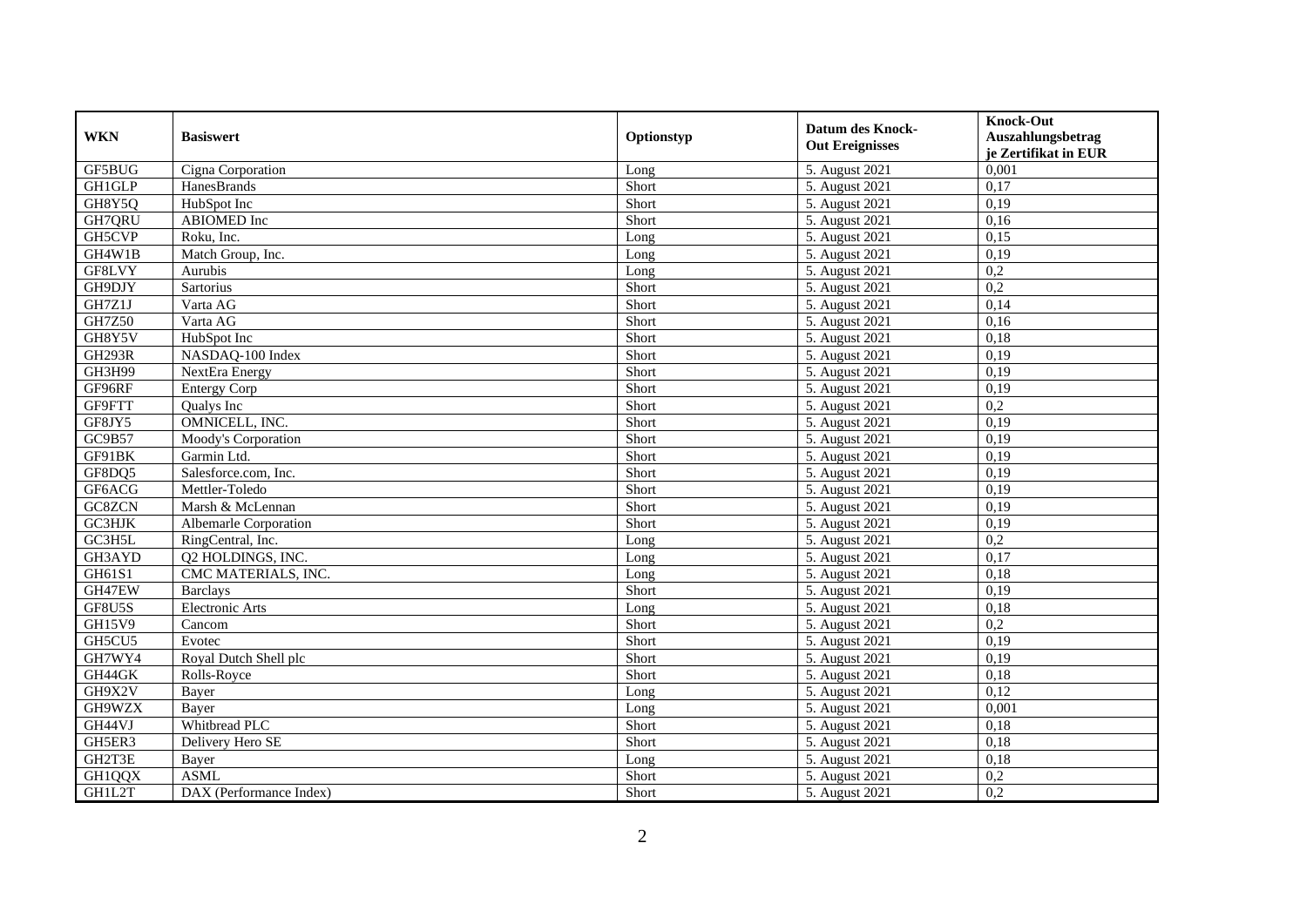| <b>WKN</b>    | <b>Basiswert</b>             | Optionstyp | <b>Datum des Knock-</b><br><b>Out Ereignisses</b> | <b>Knock-Out</b><br>Auszahlungsbetrag<br>je Zertifikat in EUR |
|---------------|------------------------------|------------|---------------------------------------------------|---------------------------------------------------------------|
| GF5BUG        | Cigna Corporation            | Long       | 5. August 2021                                    | 0,001                                                         |
| <b>GH1GLP</b> | HanesBrands                  | Short      | 5. August 2021                                    | 0,17                                                          |
| GH8Y5Q        | HubSpot Inc                  | Short      | 5. August 2021                                    | 0,19                                                          |
| GH7QRU        | <b>ABIOMED</b> Inc           | Short      | 5. August 2021                                    | 0,16                                                          |
| GH5CVP        | Roku, Inc.                   | Long       | 5. August 2021                                    | 0,15                                                          |
| GH4W1B        | Match Group, Inc.            | Long       | 5. August 2021                                    | 0,19                                                          |
| GF8LVY        | Aurubis                      | Long       | 5. August 2021                                    | $\overline{0.2}$                                              |
| GH9DJY        | <b>Sartorius</b>             | Short      | 5. August 2021                                    | 0,2                                                           |
| GH7Z1J        | Varta AG                     | Short      | 5. August 2021                                    | 0,14                                                          |
| <b>GH7Z50</b> | Varta AG                     | Short      | 5. August 2021                                    | 0,16                                                          |
| GH8Y5V        | HubSpot Inc                  | Short      | 5. August 2021                                    | 0,18                                                          |
| <b>GH293R</b> | NASDAQ-100 Index             | Short      | 5. August 2021                                    | 0,19                                                          |
| GH3H99        | NextEra Energy               | Short      | 5. August 2021                                    | 0,19                                                          |
| GF96RF        | <b>Entergy Corp</b>          | Short      | 5. August 2021                                    | 0,19                                                          |
| GF9FTT        | Qualys Inc                   | Short      | 5. August 2021                                    | 0,2                                                           |
| GF8JY5        | OMNICELL, INC.               | Short      | 5. August 2021                                    | 0,19                                                          |
| GC9B57        | Moody's Corporation          | Short      | 5. August 2021                                    | 0,19                                                          |
| GF91BK        | Garmin Ltd.                  | Short      | 5. August 2021                                    | 0,19                                                          |
| GF8DQ5        | Salesforce.com, Inc.         | Short      | 5. August 2021                                    | 0,19                                                          |
| GF6ACG        | Mettler-Toledo               | Short      | 5. August 2021                                    | 0,19                                                          |
| GC8ZCN        | Marsh & McLennan             | Short      | 5. August 2021                                    | 0,19                                                          |
| GC3HJK        | <b>Albemarle Corporation</b> | Short      | 5. August 2021                                    | 0,19                                                          |
| GC3H5L        | RingCentral, Inc.            | Long       | 5. August 2021                                    | 0,2                                                           |
| GH3AYD        | Q2 HOLDINGS, INC.            | Long       | 5. August 2021                                    | 0,17                                                          |
| GH61S1        | CMC MATERIALS, INC.          | Long       | 5. August 2021                                    | 0.18                                                          |
| GH47EW        | <b>Barclays</b>              | Short      | 5. August 2021                                    | 0,19                                                          |
| GF8U5S        | <b>Electronic Arts</b>       | Long       | 5. August 2021                                    | 0,18                                                          |
| <b>GH15V9</b> | Cancom                       | Short      | 5. August 2021                                    | $\overline{0.2}$                                              |
| GH5CU5        | Evotec                       | Short      | 5. August 2021                                    | 0,19                                                          |
| GH7WY4        | Royal Dutch Shell plc        | Short      | 5. August 2021                                    | 0,19                                                          |
| GH44GK        | Rolls-Royce                  | Short      | 5. August 2021                                    | 0,18                                                          |
| GH9X2V        | Baver                        | Long       | 5. August 2021                                    | 0.12                                                          |
| GH9WZX        | Bayer                        | Long       | 5. August 2021                                    | 0,001                                                         |
| GH44VJ        | Whitbread PLC                | Short      | 5. August 2021                                    | 0,18                                                          |
| GH5ER3        | Delivery Hero SE             | Short      | 5. August 2021                                    | 0,18                                                          |
| GH2T3E        | Bayer                        | Long       | 5. August 2021                                    | 0,18                                                          |
| GH1QQX        | <b>ASML</b>                  | Short      | 5. August 2021                                    | 0,2                                                           |
| GH1L2T        | DAX (Performance Index)      | Short      | 5. August 2021                                    | 0,2                                                           |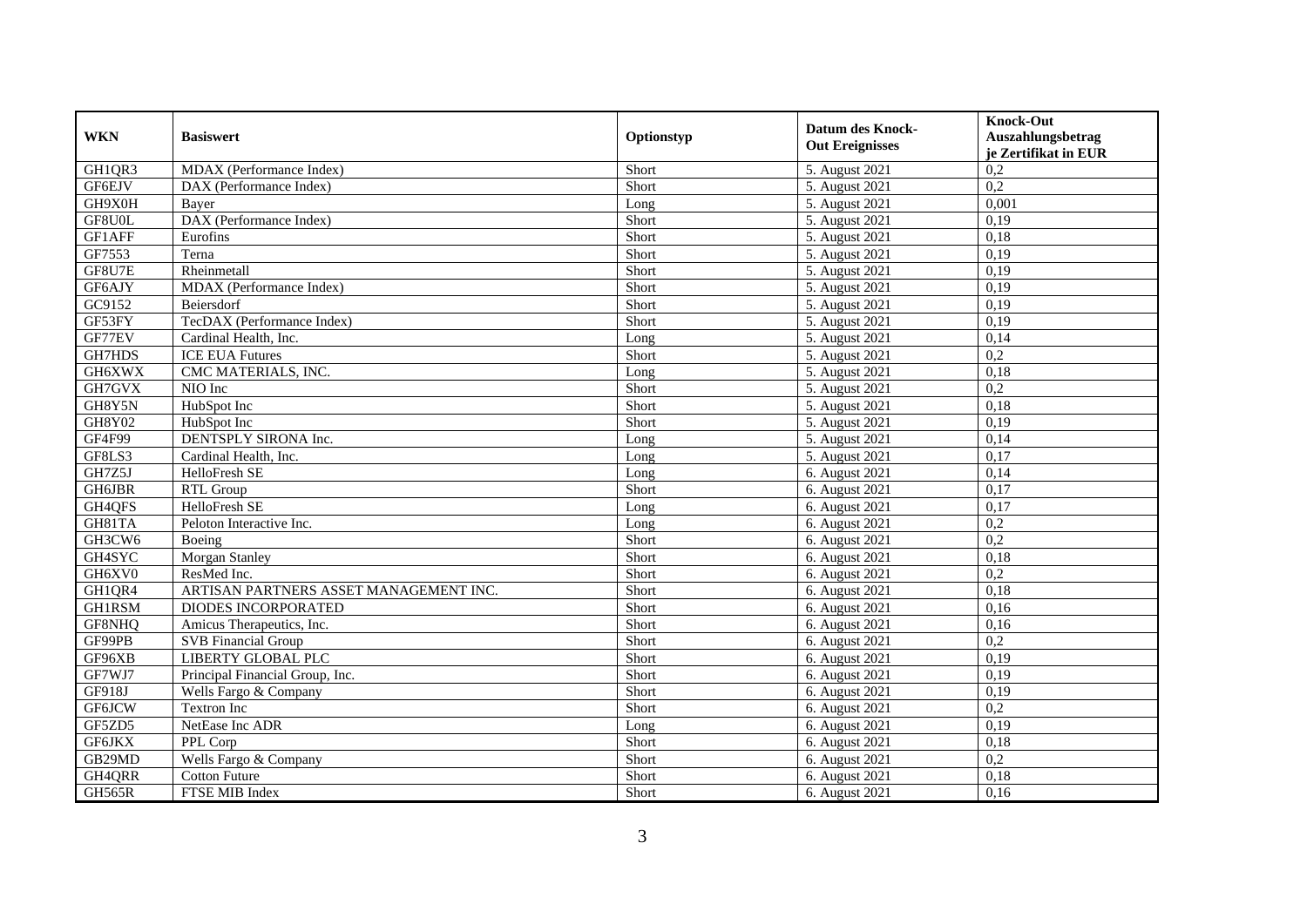| <b>WKN</b>    | <b>Basiswert</b>                       | Optionstyp | Datum des Knock-<br><b>Out Ereignisses</b> | <b>Knock-Out</b><br>Auszahlungsbetrag<br>je Zertifikat in EUR |
|---------------|----------------------------------------|------------|--------------------------------------------|---------------------------------------------------------------|
| GH1QR3        | MDAX (Performance Index)               | Short      | 5. August 2021                             | 0,2                                                           |
| GF6EJV        | DAX (Performance Index)                | Short      | 5. August 2021                             | 0,2                                                           |
| GH9X0H        | Baver                                  | Long       | 5. August 2021                             | 0,001                                                         |
| GF8U0L        | DAX (Performance Index)                | Short      | 5. August 2021                             | 0,19                                                          |
| GF1AFF        | Eurofins                               | Short      | 5. August 2021                             | 0,18                                                          |
| GF7553        | Terna                                  | Short      | 5. August 2021                             | 0,19                                                          |
| GF8U7E        | Rheinmetall                            | Short      | 5. August 2021                             | 0,19                                                          |
| GF6AJY        | MDAX (Performance Index)               | Short      | 5. August 2021                             | 0,19                                                          |
| GC9152        | Beiersdorf                             | Short      | 5. August 2021                             | 0,19                                                          |
| GF53FY        | TecDAX (Performance Index)             | Short      | 5. August 2021                             | 0,19                                                          |
| GF77EV        | Cardinal Health, Inc.                  | Long       | 5. August 2021                             | 0,14                                                          |
| GH7HDS        | <b>ICE EUA Futures</b>                 | Short      | 5. August 2021                             | 0,2                                                           |
| GH6XWX        | CMC MATERIALS, INC.                    | Long       | 5. August 2021                             | 0,18                                                          |
| GH7GVX        | NIO Inc                                | Short      | 5. August 2021                             | 0,2                                                           |
| GH8Y5N        | HubSpot Inc                            | Short      | 5. August 2021                             | 0,18                                                          |
| <b>GH8Y02</b> | HubSpot Inc                            | Short      | 5. August 2021                             | 0,19                                                          |
| GF4F99        | DENTSPLY SIRONA Inc.                   | Long       | 5. August 2021                             | 0,14                                                          |
| GF8LS3        | Cardinal Health, Inc.                  | Long       | 5. August 2021                             | 0,17                                                          |
| GH7Z5J        | HelloFresh SE                          | Long       | 6. August 2021                             | 0,14                                                          |
| GH6JBR        | RTL Group                              | Short      | 6. August 2021                             | 0,17                                                          |
| GH4QFS        | HelloFresh SE                          | Long       | 6. August 2021                             | 0,17                                                          |
| GH81TA        | Peloton Interactive Inc.               | Long       | 6. August 2021                             | 0,2                                                           |
| GH3CW6        | Boeing                                 | Short      | 6. August 2021                             | $\overline{0.2}$                                              |
| GH4SYC        | Morgan Stanley                         | Short      | 6. August 2021                             | 0,18                                                          |
| GH6XV0        | ResMed Inc.                            | Short      | 6. August 2021                             | 0,2                                                           |
| GH1QR4        | ARTISAN PARTNERS ASSET MANAGEMENT INC. | Short      | 6. August 2021                             | 0,18                                                          |
| <b>GH1RSM</b> | <b>DIODES INCORPORATED</b>             | Short      | 6. August 2021                             | 0,16                                                          |
| GF8NHQ        | Amicus Therapeutics, Inc.              | Short      | 6. August 2021                             | 0,16                                                          |
| GF99PB        | <b>SVB</b> Financial Group             | Short      | 6. August 2021                             | 0,2                                                           |
| GF96XB        | <b>LIBERTY GLOBAL PLC</b>              | Short      | 6. August 2021                             | 0,19                                                          |
| GF7WJ7        | Principal Financial Group, Inc.        | Short      | 6. August 2021                             | 0,19                                                          |
| GF918J        | Wells Fargo & Company                  | Short      | 6. August 2021                             | 0,19                                                          |
| <b>GF6JCW</b> | <b>Textron Inc</b>                     | Short      | 6. August 2021                             | $\overline{0.2}$                                              |
| GF5ZD5        | NetEase Inc ADR                        | Long       | 6. August 2021                             | 0,19                                                          |
| <b>GF6JKX</b> | PPL Corp                               | Short      | 6. August 2021                             | 0,18                                                          |
| GB29MD        | Wells Fargo & Company                  | Short      | 6. August 2021                             | 0,2                                                           |
| GH4QRR        | <b>Cotton Future</b>                   | Short      | 6. August 2021                             | 0,18                                                          |
| GH565R        | FTSE MIB Index                         | Short      | 6. August 2021                             | 0,16                                                          |